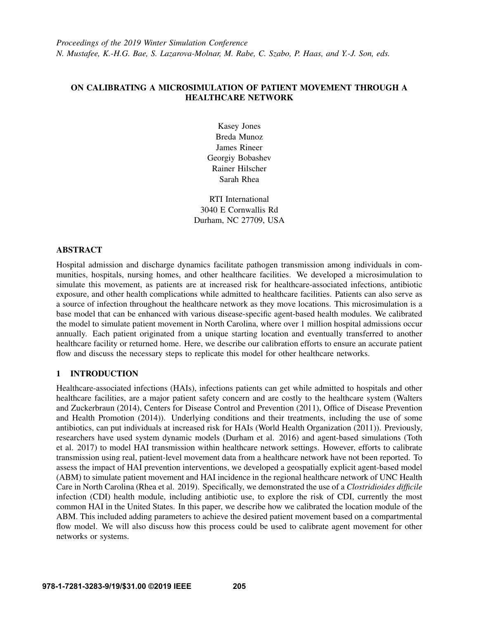# ON CALIBRATING A MICROSIMULATION OF PATIENT MOVEMENT THROUGH A HEALTHCARE NETWORK

Kasey Jones Breda Munoz James Rineer Georgiy Bobashev Rainer Hilscher Sarah Rhea

RTI International 3040 E Cornwallis Rd Durham, NC 27709, USA

## ABSTRACT

Hospital admission and discharge dynamics facilitate pathogen transmission among individuals in communities, hospitals, nursing homes, and other healthcare facilities. We developed a microsimulation to simulate this movement, as patients are at increased risk for healthcare-associated infections, antibiotic exposure, and other health complications while admitted to healthcare facilities. Patients can also serve as a source of infection throughout the healthcare network as they move locations. This microsimulation is a base model that can be enhanced with various disease-specific agent-based health modules. We calibrated the model to simulate patient movement in North Carolina, where over 1 million hospital admissions occur annually. Each patient originated from a unique starting location and eventually transferred to another healthcare facility or returned home. Here, we describe our calibration efforts to ensure an accurate patient flow and discuss the necessary steps to replicate this model for other healthcare networks.

## 1 INTRODUCTION

Healthcare-associated infections (HAIs), infections patients can get while admitted to hospitals and other healthcare facilities, are a major patient safety concern and are costly to the healthcare system [\(Walters](#page-8-0) [and Zuckerbraun \(2014\),](#page-8-0) [Centers for Disease Control and Prevention \(2011\),](#page-8-1) [Office of Disease Prevention](#page-8-2) [and Health Promotion \(2014\)\)](#page-8-2). Underlying conditions and their treatments, including the use of some antibiotics, can put individuals at increased risk for HAIs [\(World Health Organization \(2011\)\)](#page-8-3). Previously, researchers have used system dynamic models [\(Durham et al. 2016\)](#page-8-4) and agent-based simulations [\(Toth](#page-8-5) [et al. 2017\)](#page-8-5) to model HAI transmission within healthcare network settings. However, efforts to calibrate transmission using real, patient-level movement data from a healthcare network have not been reported. To assess the impact of HAI prevention interventions, we developed a geospatially explicit agent-based model (ABM) to simulate patient movement and HAI incidence in the regional healthcare network of UNC Health Care in North Carolina [\(Rhea et al. 2019\)](#page-8-6). Specifically, we demonstrated the use of a *Clostridioides difficile* infection (CDI) health module, including antibiotic use, to explore the risk of CDI, currently the most common HAI in the United States. In this paper, we describe how we calibrated the location module of the ABM. This included adding parameters to achieve the desired patient movement based on a compartmental flow model. We will also discuss how this process could be used to calibrate agent movement for other networks or systems.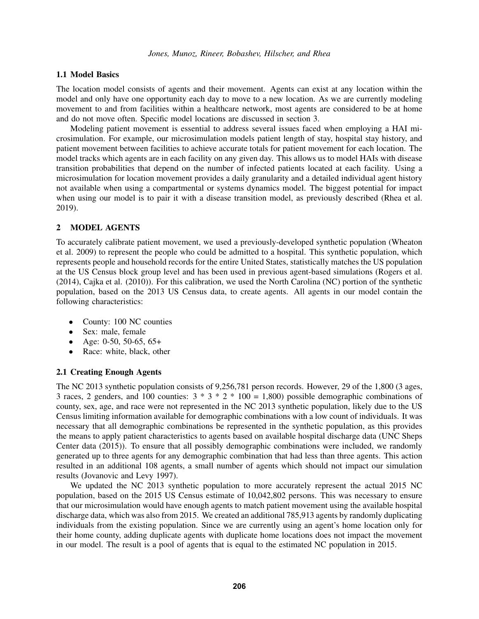### 1.1 Model Basics

The location model consists of agents and their movement. Agents can exist at any location within the model and only have one opportunity each day to move to a new location. As we are currently modeling movement to and from facilities within a healthcare network, most agents are considered to be at home and do not move often. Specific model locations are discussed in section [3.](#page-2-0)

Modeling patient movement is essential to address several issues faced when employing a HAI microsimulation. For example, our microsimulation models patient length of stay, hospital stay history, and patient movement between facilities to achieve accurate totals for patient movement for each location. The model tracks which agents are in each facility on any given day. This allows us to model HAIs with disease transition probabilities that depend on the number of infected patients located at each facility. Using a microsimulation for location movement provides a daily granularity and a detailed individual agent history not available when using a compartmental or systems dynamics model. The biggest potential for impact when using our model is to pair it with a disease transition model, as previously described [\(Rhea et al.](#page-8-6) [2019\)](#page-8-6).

## 2 MODEL AGENTS

To accurately calibrate patient movement, we used a previously-developed synthetic population [\(Wheaton](#page-8-7) [et al. 2009\)](#page-8-7) to represent the people who could be admitted to a hospital. This synthetic population, which represents people and household records for the entire United States, statistically matches the US population at the US Census block group level and has been used in previous agent-based simulations [\(Rogers et al.](#page-8-8) [\(2014\),](#page-8-8) [Cajka et al. \(2010\)\)](#page-8-9). For this calibration, we used the North Carolina (NC) portion of the synthetic population, based on the 2013 US Census data, to create agents. All agents in our model contain the following characteristics:

- County: 100 NC counties
- Sex: male, female
- Age: 0-50, 50-65, 65+
- Race: white, black, other

#### 2.1 Creating Enough Agents

The NC 2013 synthetic population consists of 9,256,781 person records. However, 29 of the 1,800 (3 ages, 3 races, 2 genders, and 100 counties:  $3 * 3 * 2 * 100 = 1,800$  possible demographic combinations of county, sex, age, and race were not represented in the NC 2013 synthetic population, likely due to the US Census limiting information available for demographic combinations with a low count of individuals. It was necessary that all demographic combinations be represented in the synthetic population, as this provides the means to apply patient characteristics to agents based on available hospital discharge data [\(UNC Sheps](#page-8-10) [Center data \(2015\)\)](#page-8-10). To ensure that all possibly demographic combinations were included, we randomly generated up to three agents for any demographic combination that had less than three agents. This action resulted in an additional 108 agents, a small number of agents which should not impact our simulation results [\(Jovanovic and Levy 1997\)](#page-8-11).

We updated the NC 2013 synthetic population to more accurately represent the actual 2015 NC population, based on the 2015 US Census estimate of 10,042,802 persons. This was necessary to ensure that our microsimulation would have enough agents to match patient movement using the available hospital discharge data, which was also from 2015. We created an additional 785,913 agents by randomly duplicating individuals from the existing population. Since we are currently using an agent's home location only for their home county, adding duplicate agents with duplicate home locations does not impact the movement in our model. The result is a pool of agents that is equal to the estimated NC population in 2015.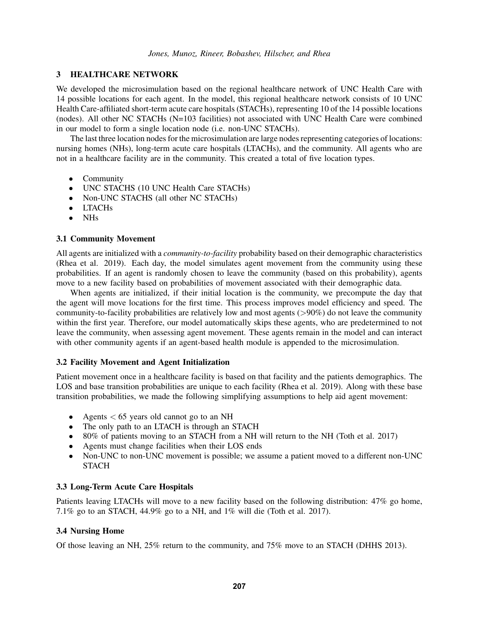## <span id="page-2-0"></span>3 HEALTHCARE NETWORK

We developed the microsimulation based on the regional healthcare network of UNC Health Care with 14 possible locations for each agent. In the model, this regional healthcare network consists of 10 UNC Health Care-affiliated short-term acute care hospitals (STACHs), representing 10 of the 14 possible locations (nodes). All other NC STACHs (N=103 facilities) not associated with UNC Health Care were combined in our model to form a single location node (i.e. non-UNC STACHs).

The last three location nodes for the microsimulation are large nodes representing categories of locations: nursing homes (NHs), long-term acute care hospitals (LTACHs), and the community. All agents who are not in a healthcare facility are in the community. This created a total of five location types.

- Community
- UNC STACHS (10 UNC Health Care STACHs)
- Non-UNC STACHS (all other NC STACHs)
- LTACHs
- NHs

## 3.1 Community Movement

All agents are initialized with a *community-to-facility* probability based on their demographic characteristics [\(Rhea et al. 2019\)](#page-8-6). Each day, the model simulates agent movement from the community using these probabilities. If an agent is randomly chosen to leave the community (based on this probability), agents move to a new facility based on probabilities of movement associated with their demographic data.

When agents are initialized, if their initial location is the community, we precompute the day that the agent will move locations for the first time. This process improves model efficiency and speed. The community-to-facility probabilities are relatively low and most agents (>90%) do not leave the community within the first year. Therefore, our model automatically skips these agents, who are predetermined to not leave the community, when assessing agent movement. These agents remain in the model and can interact with other community agents if an agent-based health module is appended to the microsimulation.

### 3.2 Facility Movement and Agent Initialization

Patient movement once in a healthcare facility is based on that facility and the patients demographics. The LOS and base transition probabilities are unique to each facility [\(Rhea et al. 2019\)](#page-8-6). Along with these base transition probabilities, we made the following simplifying assumptions to help aid agent movement:

- Agents  $< 65$  years old cannot go to an NH
- The only path to an LTACH is through an STACH
- 80% of patients moving to an STACH from a NH will return to the NH [\(Toth et al. 2017\)](#page-8-5)
- Agents must change facilities when their LOS ends
- Non-UNC to non-UNC movement is possible; we assume a patient moved to a different non-UNC **STACH**

### 3.3 Long-Term Acute Care Hospitals

Patients leaving LTACHs will move to a new facility based on the following distribution: 47% go home, 7.1% go to an STACH, 44.9% go to a NH, and 1% will die (Toth et al. 2017).

# 3.4 Nursing Home

Of those leaving an NH, 25% return to the community, and 75% move to an STACH [\(DHHS 2013\)](#page-8-12).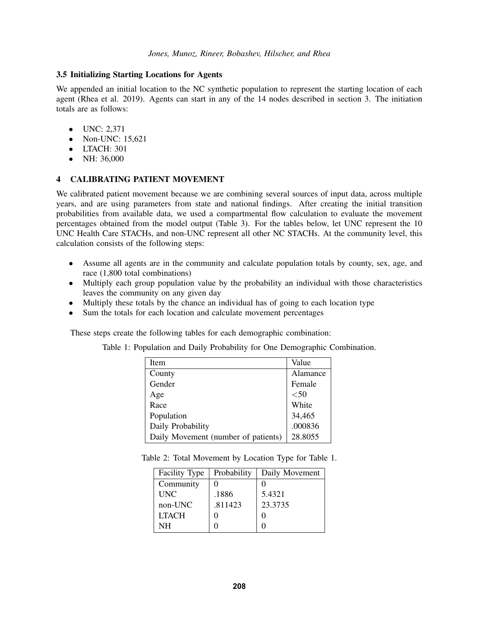## 3.5 Initializing Starting Locations for Agents

We appended an initial location to the NC synthetic population to represent the starting location of each agent [\(Rhea et al. 2019\)](#page-8-6). Agents can start in any of the 14 nodes described in section [3.](#page-2-0) The initiation totals are as follows:

- UNC: 2,371
- Non-UNC: 15,621
- LTACH: 301
- NH: 36,000

## <span id="page-3-1"></span>4 CALIBRATING PATIENT MOVEMENT

We calibrated patient movement because we are combining several sources of input data, across multiple years, and are using parameters from state and national findings. After creating the initial transition probabilities from available data, we used a compartmental flow calculation to evaluate the movement percentages obtained from the model output (Table [3\)](#page-4-0). For the tables below, let UNC represent the 10 UNC Health Care STACHs, and non-UNC represent all other NC STACHs. At the community level, this calculation consists of the following steps:

- Assume all agents are in the community and calculate population totals by county, sex, age, and race (1,800 total combinations)
- Multiply each group population value by the probability an individual with those characteristics leaves the community on any given day
- Multiply these totals by the chance an individual has of going to each location type
- Sum the totals for each location and calculate movement percentages

These steps create the following tables for each demographic combination:

|  |  |  |  | Table 1: Population and Daily Probability for One Demographic Combination |  |
|--|--|--|--|---------------------------------------------------------------------------|--|
|  |  |  |  |                                                                           |  |

<span id="page-3-0"></span>

| Item                                | Value    |
|-------------------------------------|----------|
| County                              | Alamance |
| Gender                              | Female   |
| Age                                 | $50$     |
| Race                                | White    |
| Population                          | 34,465   |
| Daily Probability                   | .000836  |
| Daily Movement (number of patients) | 28.8055  |

Table 2: Total Movement by Location Type for Table [1.](#page-3-0)

| Facility Type | Probability | Daily Movement |  |
|---------------|-------------|----------------|--|
| Community     |             |                |  |
| <b>UNC</b>    | .1886       | 5.4321         |  |
| non-UNC       | .811423     | 23.3735        |  |
| <b>LTACH</b>  |             |                |  |
| NΗ            |             |                |  |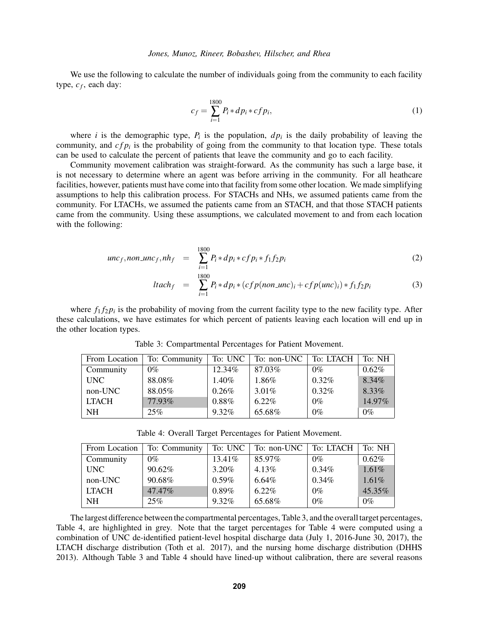We use the following to calculate the number of individuals going from the community to each facility type, *c<sup>f</sup>* , each day:

$$
c_f = \sum_{i=1}^{1800} P_i * dp_i * cf p_i,
$$
 (1)

where *i* is the demographic type,  $P_i$  is the population,  $dp_i$  is the daily probability of leaving the community, and  $cf_{pi}$  is the probability of going from the community to that location type. These totals can be used to calculate the percent of patients that leave the community and go to each facility.

Community movement calibration was straight-forward. As the community has such a large base, it is not necessary to determine where an agent was before arriving in the community. For all heathcare facilities, however, patients must have come into that facility from some other location. We made simplifying assumptions to help this calibration process. For STACHs and NHs, we assumed patients came from the community. For LTACHs, we assumed the patients came from an STACH, and that those STACH patients came from the community. Using these assumptions, we calculated movement to and from each location with the following:

unc<sub>f</sub>, non\\_unc<sub>f</sub>, nh<sub>f</sub> = 
$$
\sum_{i=1}^{1800} P_i * dp_i * cf p_i * f_1 f_2 p_i
$$
 (2)

$$
ltach_{f} = \sum_{i=1}^{1800} P_{i} * dp_{i} * (cfp(non\_unc)_{i} + cfp(unc)_{i}) * f_{1}f_{2}p_{i}
$$
(3)

where  $f_1 f_2 p_i$  is the probability of moving from the current facility type to the new facility type. After these calculations, we have estimates for which percent of patients leaving each location will end up in the other location types.

| From Location | To: Community | To: UNC  | To: non-UNC | To: LTACH | To: NH   |
|---------------|---------------|----------|-------------|-----------|----------|
| Community     | $0\%$         | 12.34%   | 87.03%      | $0\%$     | $0.62\%$ |
| UNC.          | 88.08%        | $1.40\%$ | 1.86%       | $0.32\%$  | 8.34%    |
| non-UNC       | 88.05%        | $0.26\%$ | 3.01%       | $0.32\%$  | 8.33%    |
| <b>LTACH</b>  | 77.93%        | $0.88\%$ | $6.22\%$    | $0\%$     | 14.97%   |
| NH            | 25%           | $9.32\%$ | 65.68%      | $0\%$     | $0\%$    |

<span id="page-4-0"></span>Table 3: Compartmental Percentages for Patient Movement.

<span id="page-4-1"></span>Table 4: Overall Target Percentages for Patient Movement.

| From Location | To: Community | To: UNC  | To: non-UNC $ $ | To: LTACH | To: NH |
|---------------|---------------|----------|-----------------|-----------|--------|
| Community     | $0\%$         | 13.41\%  | 85.97%          | $0\%$     | 0.62%  |
| UNC.          | 90.62%        | $3.20\%$ | 4.13%           | 0.34%     | 1.61%  |
| non-UNC       | 90.68%        | $0.59\%$ | 6.64%           | 0.34%     | 1.61%  |
| <b>LTACH</b>  | 47.47%        | $0.89\%$ | $6.22\%$        | $0\%$     | 45.35% |
| NH            | 25%           | $9.32\%$ | 65.68%          | $0\%$     | $0\%$  |

The largest difference between the compartmental percentages, Table [3,](#page-4-0) and the overall target percentages, Table [4,](#page-4-1) are highlighted in grey. Note that the target percentages for Table [4](#page-4-1) were computed using a combination of UNC de-identified patient-level hospital discharge data (July 1, 2016-June 30, 2017), the LTACH discharge distribution [\(Toth et al. 2017\)](#page-8-5), and the nursing home discharge distribution [\(DHHS](#page-8-12) [2013\)](#page-8-12). Although Table [3](#page-4-0) and Table [4](#page-4-1) should have lined-up without calibration, there are several reasons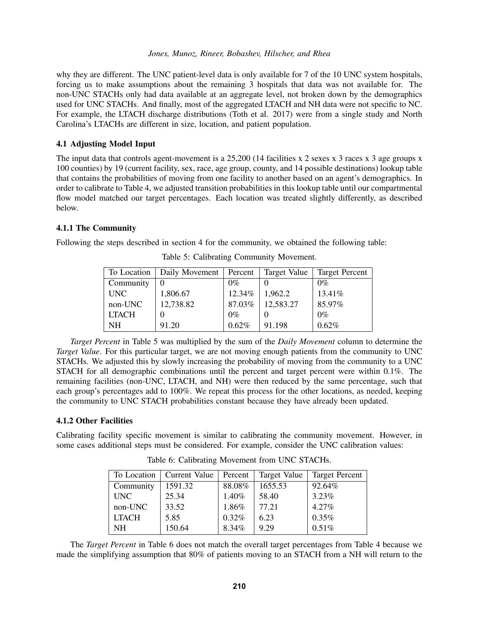why they are different. The UNC patient-level data is only available for 7 of the 10 UNC system hospitals, forcing us to make assumptions about the remaining 3 hospitals that data was not available for. The non-UNC STACHs only had data available at an aggregate level, not broken down by the demographics used for UNC STACHs. And finally, most of the aggregated LTACH and NH data were not specific to NC. For example, the LTACH discharge distributions [\(Toth et al. 2017\)](#page-8-5) were from a single study and North Carolina's LTACHs are different in size, location, and patient population.

### 4.1 Adjusting Model Input

The input data that controls agent-movement is a 25,200 (14 facilities x 2 sexes x 3 races x 3 age groups x 100 counties) by 19 (current facility, sex, race, age group, county, and 14 possible destinations) lookup table that contains the probabilities of moving from one facility to another based on an agent's demographics. In order to calibrate to Table [4,](#page-4-1) we adjusted transition probabilities in this lookup table until our compartmental flow model matched our target percentages. Each location was treated slightly differently, as described below.

## 4.1.1 The Community

Following the steps described in section [4](#page-3-1) for the community, we obtained the following table:

| To Location  | Daily Movement   Percent |        | Target Value | <b>Target Percent</b> |
|--------------|--------------------------|--------|--------------|-----------------------|
| Community    | $\left($                 | $0\%$  |              | $0\%$                 |
| <b>UNC</b>   | 1,806.67                 | 12.34% | 1,962.2      | 13.41%                |
| non-UNC      | 12,738.82                | 87.03% | 12,583.27    | 85.97%                |
| <b>LTACH</b> |                          | $0\%$  |              | $0\%$                 |
| <b>NH</b>    | 91.20                    | 0.62%  | 91.198       | 0.62%                 |

<span id="page-5-0"></span>Table 5: Calibrating Community Movement.

*Target Percent* in Table [5](#page-5-0) was multiplied by the sum of the *Daily Movement* column to determine the *Target Value*. For this particular target, we are not moving enough patients from the community to UNC STACHs. We adjusted this by slowly increasing the probability of moving from the community to a UNC STACH for all demographic combinations until the percent and target percent were within 0.1%. The remaining facilities (non-UNC, LTACH, and NH) were then reduced by the same percentage, such that each group's percentages add to 100%. We repeat this process for the other locations, as needed, keeping the community to UNC STACH probabilities constant because they have already been updated.

# 4.1.2 Other Facilities

Calibrating facility specific movement is similar to calibrating the community movement. However, in some cases additional steps must be considered. For example, consider the UNC calibration values:

|              | To Location   Current Value | Percent | Target Value | <b>Target Percent</b> |
|--------------|-----------------------------|---------|--------------|-----------------------|
| Community    | 1591.32                     | 88.08%  | 1655.53      | 92.64%                |
| <b>UNC</b>   | 25.34                       | 1.40%   | 58.40        | 3.23%                 |
| non-UNC      | 33.52                       | 1.86%   | 77.21        | 4.27%                 |
| <b>LTACH</b> | 5.85                        | 0.32%   | 6.23         | 0.35%                 |
| NH.          | 150.64                      | 8.34%   | 9.29         | 0.51%                 |

<span id="page-5-1"></span>Table 6: Calibrating Movement from UNC STACHs.

The *Target Percent* in Table [6](#page-5-1) does not match the overall target percentages from Table [4](#page-4-1) because we made the simplifying assumption that 80% of patients moving to an STACH from a NH will return to the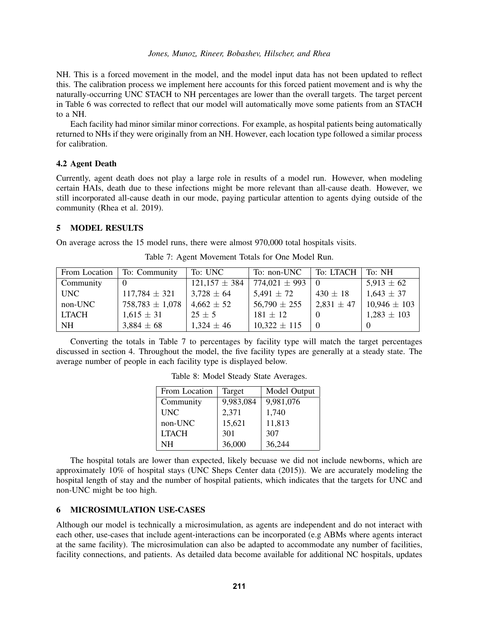NH. This is a forced movement in the model, and the model input data has not been updated to reflect this. The calibration process we implement here accounts for this forced patient movement and is why the naturally-occurring UNC STACH to NH percentages are lower than the overall targets. The target percent in Table [6](#page-5-1) was corrected to reflect that our model will automatically move some patients from an STACH to a NH.

Each facility had minor similar minor corrections. For example, as hospital patients being automatically returned to NHs if they were originally from an NH. However, each location type followed a similar process for calibration.

### 4.2 Agent Death

Currently, agent death does not play a large role in results of a model run. However, when modeling certain HAIs, death due to these infections might be more relevant than all-cause death. However, we still incorporated all-cause death in our mode, paying particular attention to agents dying outside of the community [\(Rhea et al. 2019\)](#page-8-6).

## 5 MODEL RESULTS

On average across the 15 model runs, there were almost 970,000 total hospitals visits.

| From Location | To: Community       | To: UNC           | To: non-UNC       | To: LTACH      | To: NH           |
|---------------|---------------------|-------------------|-------------------|----------------|------------------|
| Community     |                     | $121,157 \pm 384$ | $774,021 \pm 993$ |                | $5,913 \pm 62$   |
| <b>UNC</b>    | $117,784 \pm 321$   | $3,728 \pm 64$    | $5,491 \pm 72$    | $430 \pm 18$   | $1,643 \pm 37$   |
| non-UNC       | $758,783 \pm 1,078$ | $4,662 \pm 52$    | $56,790 \pm 255$  | $2,831 \pm 47$ | $10,946 \pm 103$ |
| <b>LTACH</b>  | $1,615 \pm 31$      | $25 \pm 5$        | $181 \pm 12$      |                | $1,283 \pm 103$  |
| <b>NH</b>     | $3,884 \pm 68$      | $1,324 \pm 46$    | $10,322 \pm 115$  |                |                  |

<span id="page-6-0"></span>Table 7: Agent Movement Totals for One Model Run.

Converting the totals in Table [7](#page-6-0) to percentages by facility type will match the target percentages discussed in section [4.](#page-3-1) Throughout the model, the five facility types are generally at a steady state. The average number of people in each facility type is displayed below.

| From Location | Target    | Model Output |
|---------------|-----------|--------------|
| Community     | 9,983,084 | 9,981,076    |
| <b>UNC</b>    | 2,371     | 1,740        |
| non-UNC       | 15,621    | 11,813       |
| <b>LTACH</b>  | 301       | 307          |
| NΗ            | 36,000    | 36,244       |

Table 8: Model Steady State Averages.

The hospital totals are lower than expected, likely becuase we did not include newborns, which are approximately 10% of hospital stays [\(UNC Sheps Center data \(2015\)\)](#page-8-10). We are accurately modeling the hospital length of stay and the number of hospital patients, which indicates that the targets for UNC and non-UNC might be too high.

#### 6 MICROSIMULATION USE-CASES

Although our model is technically a microsimulation, as agents are independent and do not interact with each other, use-cases that include agent-interactions can be incorporated (e.g ABMs where agents interact at the same facility). The microsimulation can also be adapted to accommodate any number of facilities, facility connections, and patients. As detailed data become available for additional NC hospitals, updates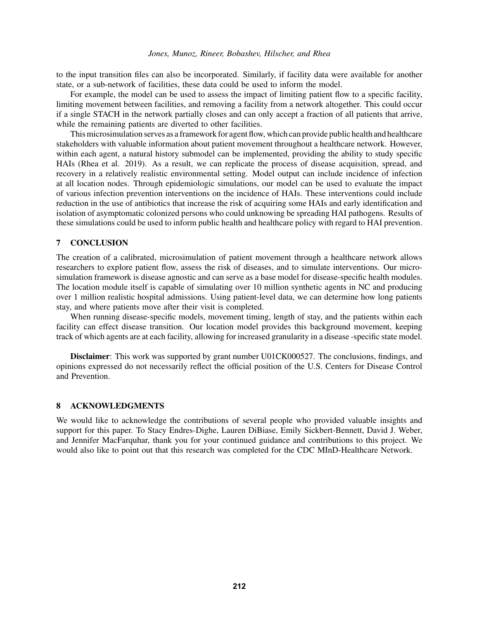to the input transition files can also be incorporated. Similarly, if facility data were available for another state, or a sub-network of facilities, these data could be used to inform the model.

For example, the model can be used to assess the impact of limiting patient flow to a specific facility, limiting movement between facilities, and removing a facility from a network altogether. This could occur if a single STACH in the network partially closes and can only accept a fraction of all patients that arrive, while the remaining patients are diverted to other facilities.

This microsimulation serves as a framework for agent flow, which can provide public health and healthcare stakeholders with valuable information about patient movement throughout a healthcare network. However, within each agent, a natural history submodel can be implemented, providing the ability to study specific HAIs [\(Rhea et al. 2019\)](#page-8-6). As a result, we can replicate the process of disease acquisition, spread, and recovery in a relatively realistic environmental setting. Model output can include incidence of infection at all location nodes. Through epidemiologic simulations, our model can be used to evaluate the impact of various infection prevention interventions on the incidence of HAIs. These interventions could include reduction in the use of antibiotics that increase the risk of acquiring some HAIs and early identification and isolation of asymptomatic colonized persons who could unknowing be spreading HAI pathogens. Results of these simulations could be used to inform public health and healthcare policy with regard to HAI prevention.

## 7 CONCLUSION

The creation of a calibrated, microsimulation of patient movement through a healthcare network allows researchers to explore patient flow, assess the risk of diseases, and to simulate interventions. Our microsimulation framework is disease agnostic and can serve as a base model for disease-specific health modules. The location module itself is capable of simulating over 10 million synthetic agents in NC and producing over 1 million realistic hospital admissions. Using patient-level data, we can determine how long patients stay, and where patients move after their visit is completed.

When running disease-specific models, movement timing, length of stay, and the patients within each facility can effect disease transition. Our location model provides this background movement, keeping track of which agents are at each facility, allowing for increased granularity in a disease -specific state model.

Disclaimer: This work was supported by grant number U01CK000527. The conclusions, findings, and opinions expressed do not necessarily reflect the official position of the U.S. Centers for Disease Control and Prevention.

## 8 ACKNOWLEDGMENTS

We would like to acknowledge the contributions of several people who provided valuable insights and support for this paper. To Stacy Endres-Dighe, Lauren DiBiase, Emily Sickbert-Bennett, David J. Weber, and Jennifer MacFarquhar, thank you for your continued guidance and contributions to this project. We would also like to point out that this research was completed for the CDC MInD-Healthcare Network.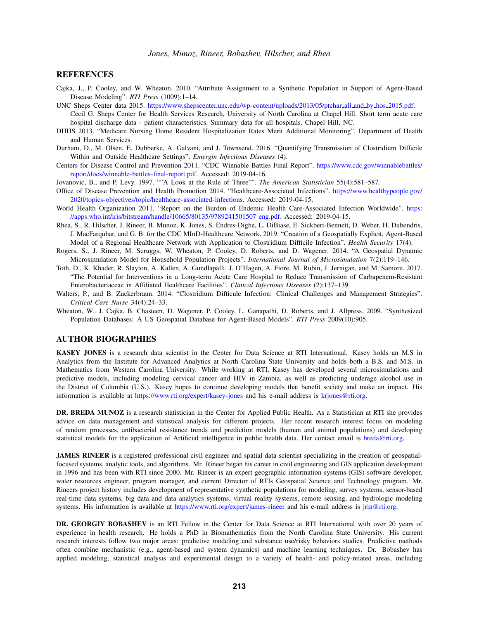#### **REFERENCES**

- <span id="page-8-9"></span>Cajka, J., P. Cooley, and W. Wheaton. 2010. "Attribute Assignment to a Synthetic Population in Support of Agent-Based Disease Modeling". *RTI Press* (1009):1–14.
- <span id="page-8-10"></span>UNC Sheps Center data 2015. [https://www.shepscenter.unc.edu/wp-content/uploads/2013/05/ptchar]( https://www.shepscenter.unc.edu/wp-content/uploads/2013/05/ptchar_all_and_by_hos_2015.pdf) all and by hos 2015.pdf. Cecil G. Sheps Center for Health Services Research, University of North Carolina at Chapel Hill. Short term acute care hospital discharge data - patient characteristics. Summary data for all hospitals. Chapel Hill, NC.
- <span id="page-8-12"></span>DHHS 2013. "Medicare Nursing Home Resident Hospitalization Rates Merit Additional Monitoring". Department of Health and Human Services.
- <span id="page-8-4"></span>Durham, D., M. Olsen, E. Dubberke, A. Galvani, and J. Townsend. 2016. "Quantifying Transmission of Clostridium Difficile Within and Outside Healthcare Settings". *Emergin Infectious Diseases* (4).
- <span id="page-8-1"></span>Centers for Disease Control and Prevention 2011. "CDC Winnable Battles Final Report". [https://www.cdc.gov/winnablebattles/](https://www.cdc.gov/winnablebattles/report/docs/winnable-battles-final-report.pdf) [report/docs/winnable-battles-final-report.pdf.](https://www.cdc.gov/winnablebattles/report/docs/winnable-battles-final-report.pdf) Accessed: 2019-04-16.
- <span id="page-8-11"></span>Jovanovic, B., and P. Levy. 1997. ""A Look at the Rule of Three"". *The American Statistician* 55(4):581–587.
- <span id="page-8-2"></span>Office of Disease Prevention and Health Promotion 2014. "Healthcare-Associated Infections". [https://www.healthypeople.gov/](https://www.healthypeople.gov/2020/topics-objectives/topic/healthcare-associated-infections) [2020/topics-objectives/topic/healthcare-associated-infections.](https://www.healthypeople.gov/2020/topics-objectives/topic/healthcare-associated-infections) Accessed: 2019-04-15.
- <span id="page-8-3"></span>World Health Organization 2011. "Report on the Burden of Endemic Health Care-Associated Infection Worldwide". [https:](https://apps.who.int/iris/bitstream/handle/10665/80135/9789241501507_eng.pdf) [//apps.who.int/iris/bitstream/handle/10665/80135/9789241501507](https://apps.who.int/iris/bitstream/handle/10665/80135/9789241501507_eng.pdf) eng.pdf. Accessed: 2019-04-15.
- <span id="page-8-6"></span>Rhea, S., R. Hilscher, J. Rineer, B. Munoz, K. Jones, S. Endres-Dighe, L. DiBiase, E. Sickbert-Bennett, D. Weber, H. Dubendris, J. MacFarquhar, and G. B. for the CDC MInD-Healthcare Network. 2019. "Creation of a Geospatially Explicit, Agent-Based Model of a Regional Healthcare Network with Application to Clostridium Difficile Infection". *Health Security* 17(4).
- <span id="page-8-8"></span>Rogers, S., J. Rineer, M. Scruggs, W. Wheaton, P. Cooley, D. Roberts, and D. Wagener. 2014. "A Geospatial Dynamic Microsimulation Model for Household Population Projects". *International Journal of Microsimulation* 7(2):119–146.
- <span id="page-8-5"></span>Toth, D., K. Khader, R. Slayton, A. Kallen, A. Gundlapalli, J. O'Hagen, A. Fiore, M. Rubin, J. Jernigan, and M. Samore. 2017. "The Potential for Interventions in a Long-term Acute Care Hospital to Reduce Transmission of Carbapenem-Resistant Enterobacteriaceae in Affiliated Healthcare Facilities". *Clinical Infectious Diseases* (2):137–139.
- <span id="page-8-0"></span>Walters, P., and B. Zuckerbraun. 2014. "Clostridium Difficule Infection: Clinical Challenges and Management Strategies". *Critical Care Nurse* 34(4):24–33.
- <span id="page-8-7"></span>Wheaton, W., J. Cajka, B. Chasteen, D. Wagener, P. Cooley, L. Ganapathi, D. Roberts, and J. Allpress. 2009. "Synthesized Population Databases: A US Geospatial Database for Agent-Based Models". *RTI Press* 2009(10):905.

#### AUTHOR BIOGRAPHIES

KASEY JONES is a research data scientist in the Center for Data Science at RTI International. Kasey holds an M.S in Analytics from the Institute for Advanced Analytics at North Carolina State University and holds both a B.S. and M.S. in Mathematics from Western Carolina University. While working at RTI, Kasey has developed several microsimulations and predictive models, including modeling cervical cancer and HIV in Zambia, as well as predicting underage alcohol use in the District of Columbia (U.S.). Kasey hopes to continue developing models that benefit society and make an impact. His information is available at <https://www.rti.org/expert/kasey-jones> and his e-mail address is [krjones@rti.org.](mailto://krjones@rti.org)

DR. BREDA MUNOZ is a research statistician in the Center for Applied Public Health. As a Statistician at RTI she provides advice on data management and statistical analysis for different projects. Her recent research interest focus on modeling of random processes, antibacterial resistance trends and prediction models (human and animal populations) and developing statistical models for the application of Artificial intelligence in public health data. Her contact email is [breda@rti.org.](mailto://breda@rti.org)

JAMES RINEER is a registered professional civil engineer and spatial data scientist specializing in the creation of geospatialfocused systems, analytic tools, and algorithms. Mr. Rineer began his career in civil engineering and GIS application development in 1996 and has been with RTI since 2000. Mr. Rineer is an expert geographic information systems (GIS) software developer, water resources engineer, program manager, and current Director of RTIs Geospatial Science and Technology program. Mr. Rineers project history includes development of representative synthetic populations for modeling, survey systems, sensor-based real-time data systems, big data and data analytics systems, virtual reality systems, remote sensing, and hydrologic modeling systems. His information is available at [https://www.rti.org/expert/james-rineer]( https://www.rti.org/expert/james-rineer) and his e-mail address is [jrin@rti.org.](mailto://jrin@rti.org)

DR. GEORGIY BOBASHEV is an RTI Fellow in the Center for Data Science at RTI International with over 20 years of experience in health research. He holds a PhD in Biomathematics from the North Carolina State University. His current research interests follow two major areas: predictive modeling and substance use/risky behaviors studies. Predictive methods often combine mechanistic (e.g., agent-based and system dynamics) and machine learning techniques. Dr. Bobashev has applied modeling, statistical analysis and experimental design to a variety of health- and policy-related areas, including